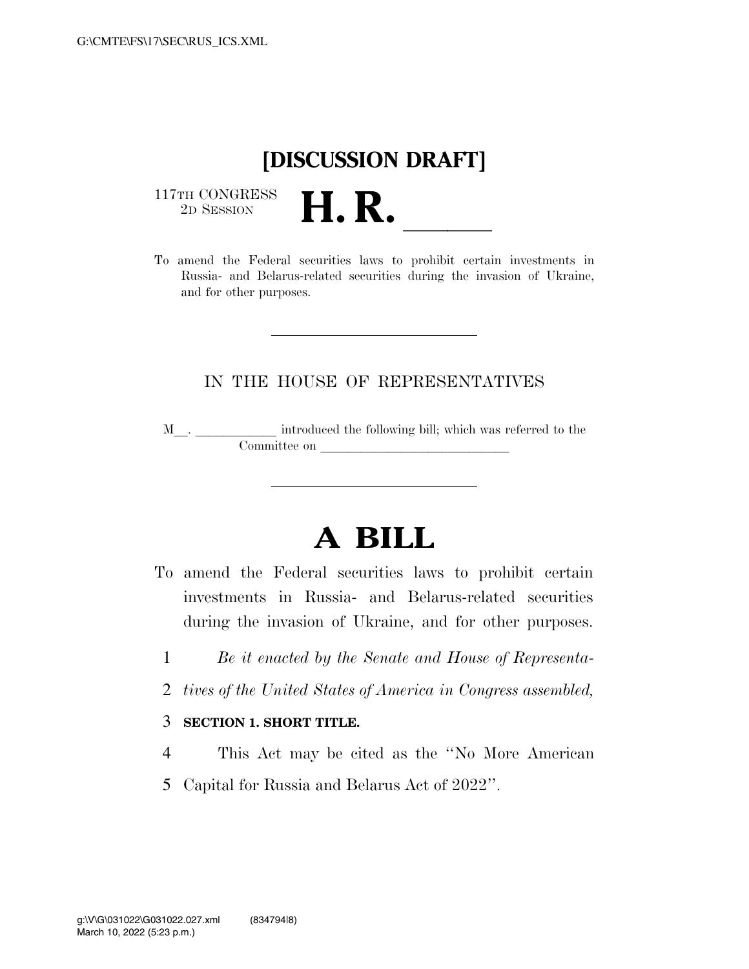## **[DISCUSSION DRAFT]**

 $\begin{array}{c} \text{117TH CONGRESS} \\ \text{2D Session} \end{array}$ 



## IN THE HOUSE OF REPRESENTATIVES

M<sub>\_\_\_</sub>. \_\_\_\_\_\_\_\_\_\_\_\_\_ introduced the following bill; which was referred to the  $\mathop{\mathrm{Commitite}}$  on  $\hfill\Box$ 

## **A BILL**

- To amend the Federal securities laws to prohibit certain investments in Russia- and Belarus-related securities during the invasion of Ukraine, and for other purposes.
	- 1 *Be it enacted by the Senate and House of Representa-*
	- 2 *tives of the United States of America in Congress assembled,*

## 3 **SECTION 1. SHORT TITLE.**

- 4 This Act may be cited as the ''No More American
- 5 Capital for Russia and Belarus Act of 2022''.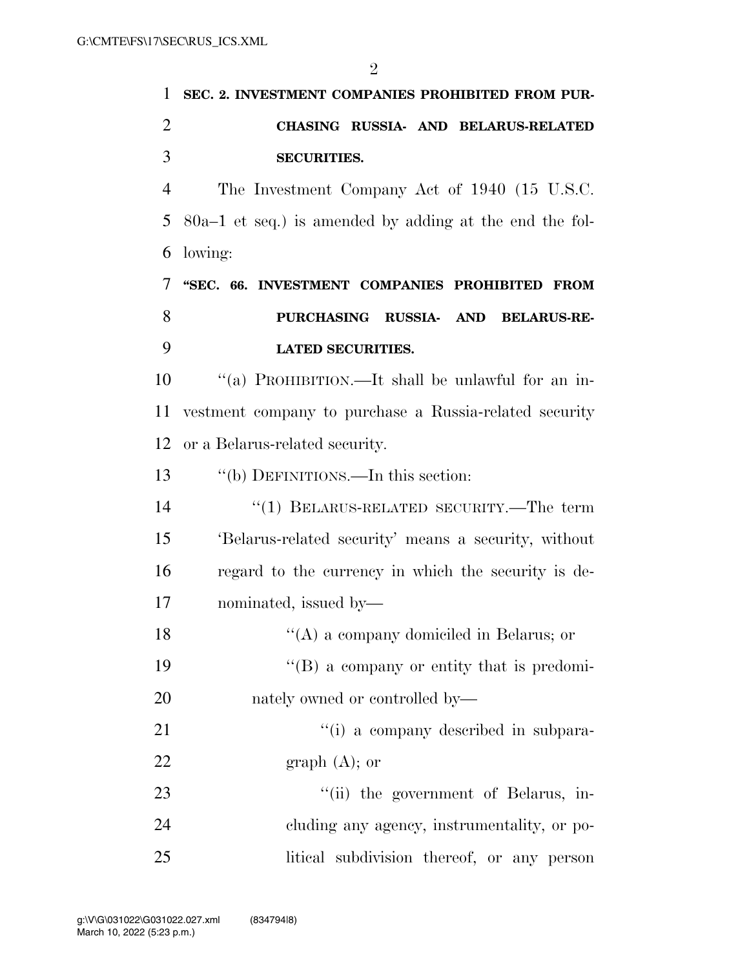| 1              | SEC. 2. INVESTMENT COMPANIES PROHIBITED FROM PUR-         |
|----------------|-----------------------------------------------------------|
| $\overline{2}$ | CHASING RUSSIA- AND BELARUS-RELATED                       |
| 3              | <b>SECURITIES.</b>                                        |
| $\overline{4}$ | The Investment Company Act of 1940 (15 U.S.C.             |
| 5              | $80a-1$ et seq.) is amended by adding at the end the fol- |
| 6              | lowing:                                                   |
| 7              | "SEC. 66. INVESTMENT COMPANIES PROHIBITED FROM            |
| 8              | PURCHASING RUSSIA- AND<br><b>BELARUS-RE-</b>              |
| 9              | <b>LATED SECURITIES.</b>                                  |
| 10             | "(a) PROHIBITION.—It shall be unlawful for an in-         |
| 11             | vestment company to purchase a Russia-related security    |
| 12             | or a Belarus-related security.                            |
| 13             | "(b) DEFINITIONS.—In this section:                        |
| 14             | "(1) BELARUS-RELATED SECURITY.—The term                   |
| 15             | 'Belarus-related security' means a security, without      |
| 16             | regard to the currency in which the security is de-       |
| 17             | nominated, issued by—                                     |
| 18             | $\lq\lq$ a company domiciled in Belarus; or               |
| 19             | $\lq\lq (B)$ a company or entity that is predomi-         |
| 20             | nately owned or controlled by—                            |
| 21             | "(i) a company described in subpara-                      |
| 22             | graph $(A)$ ; or                                          |
| 23             | "(ii) the government of Belarus, in-                      |
| 24             | cluding any agency, instrumentality, or po-               |
| 25             | litical subdivision thereof, or any person                |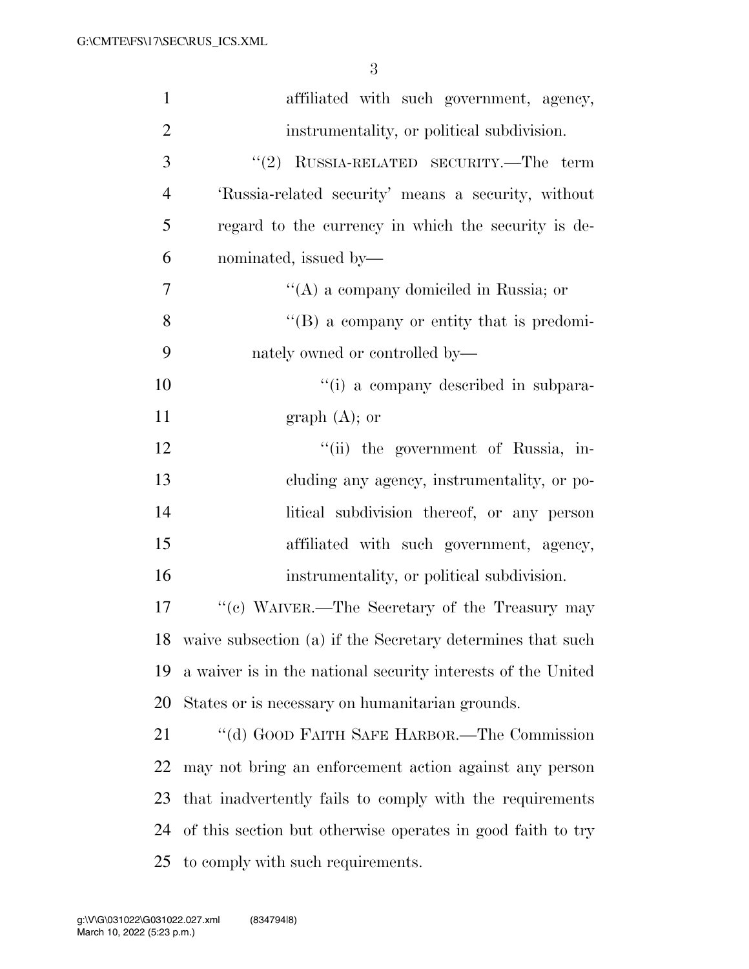| $\mathbf{1}$   | affiliated with such government, agency,                      |
|----------------|---------------------------------------------------------------|
| $\overline{2}$ | instrumentality, or political subdivision.                    |
| 3              | $``(2)$ RUSSIA-RELATED SECURITY.—The term                     |
| $\overline{4}$ | 'Russia-related security' means a security, without           |
| 5              | regard to the currency in which the security is de-           |
| 6              | nominated, issued by-                                         |
| $\overline{7}$ | "(A) a company domiciled in Russia; or                        |
| 8              | $\lq\lq (B)$ a company or entity that is predomi-             |
| 9              | nately owned or controlled by—                                |
| 10             | "(i) a company described in subpara-                          |
| 11             | graph $(A)$ ; or                                              |
| 12             | "(ii) the government of Russia, in-                           |
| 13             | cluding any agency, instrumentality, or po-                   |
| 14             | litical subdivision thereof, or any person                    |
| 15             | affiliated with such government, agency,                      |
| 16             | instrumentality, or political subdivision.                    |
| 17             | "(c) WAIVER.—The Secretary of the Treasury may                |
|                | 18 waive subsection (a) if the Secretary determines that such |
| 19             | a waiver is in the national security interests of the United  |
| 20             | States or is necessary on humanitarian grounds.               |
| 21             | "(d) GOOD FAITH SAFE HARBOR.—The Commission                   |
| 22             | may not bring an enforcement action against any person        |
| 23             | that inadvertently fails to comply with the requirements      |
| 24             | of this section but otherwise operates in good faith to try   |
| 25             | to comply with such requirements.                             |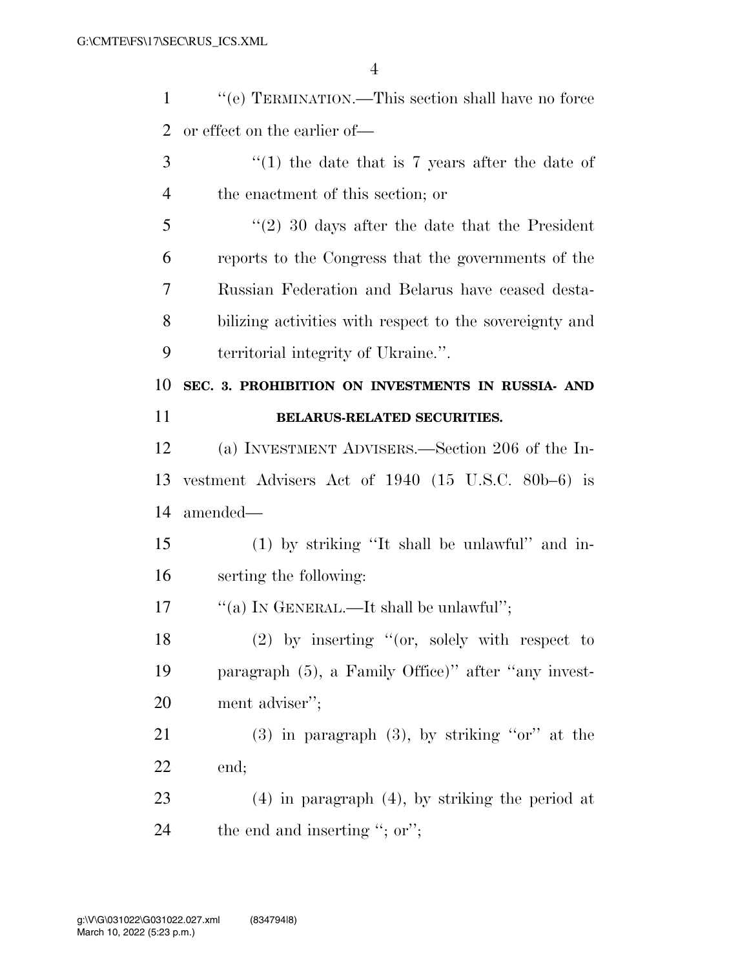| $\mathbf{1}$ | "(e) TERMINATION.—This section shall have no force      |
|--------------|---------------------------------------------------------|
| 2            | or effect on the earlier of—                            |
| 3            | $\lq(1)$ the date that is 7 years after the date of     |
| 4            | the enactment of this section; or                       |
| 5            | $\lq(2)$ 30 days after the date that the President      |
| 6            | reports to the Congress that the governments of the     |
| 7            | Russian Federation and Belarus have ceased desta-       |
| 8            | bilizing activities with respect to the sovereignty and |
| 9            | territorial integrity of Ukraine.".                     |
| 10           | SEC. 3. PROHIBITION ON INVESTMENTS IN RUSSIA- AND       |
|              |                                                         |
| 11           | BELARUS-RELATED SECURITIES.                             |
| 12           | (a) INVESTMENT ADVISERS.—Section 206 of the In-         |
| 13           | vestment Advisers Act of $1940$ (15 U.S.C. 80b-6) is    |
| 14           | amended—                                                |
| 15           | (1) by striking "It shall be unlawful" and in-          |
| 16           | serting the following:                                  |
| 17           | "(a) IN GENERAL.—It shall be unlawful";                 |
| 18           | $(2)$ by inserting "(or, solely with respect to         |
| 19           | paragraph (5), a Family Office)" after "any invest-     |
| 20           | ment adviser";                                          |

 (3) in paragraph (3), by striking ''or'' at the end;

 (4) in paragraph (4), by striking the period at 24 the end and inserting "; or";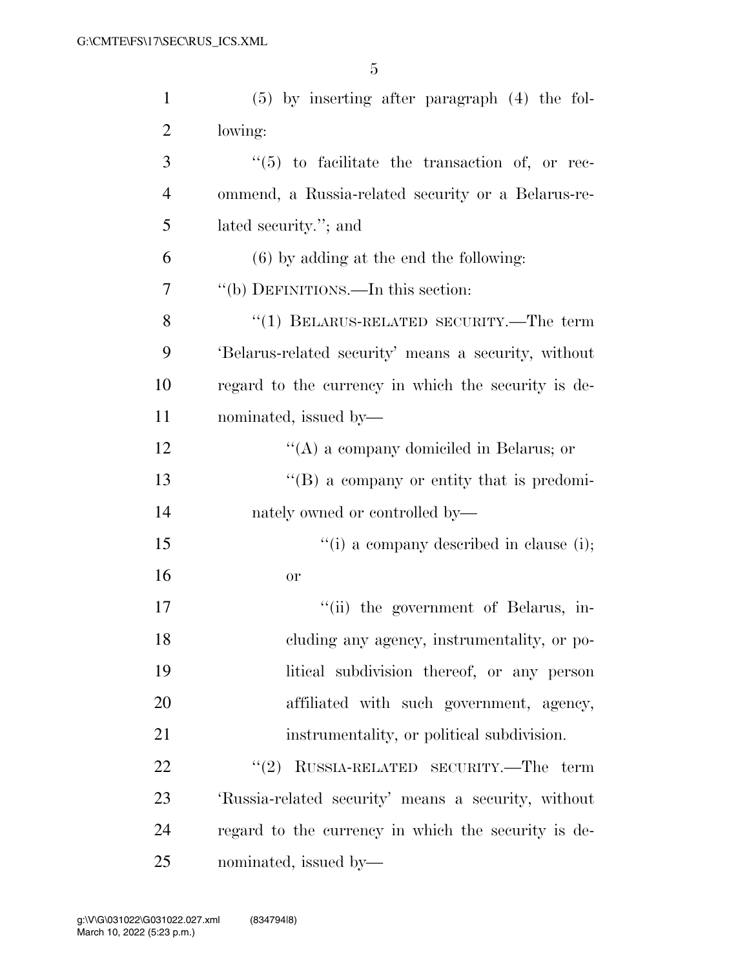| $\mathbf{1}$   | $(5)$ by inserting after paragraph $(4)$ the fol-    |
|----------------|------------------------------------------------------|
| $\overline{2}$ | lowing:                                              |
| 3              | $(5)$ to facilitate the transaction of, or rec-      |
| $\overline{4}$ | ommend, a Russia-related security or a Belarus-re-   |
| 5              | lated security."; and                                |
| 6              | $(6)$ by adding at the end the following:            |
| 7              | "(b) DEFINITIONS.—In this section:                   |
| 8              | "(1) BELARUS-RELATED SECURITY.—The term              |
| 9              | 'Belarus-related security' means a security, without |
| 10             | regard to the currency in which the security is de-  |
| 11             | nominated, issued by—                                |
| 12             | "(A) a company domiciled in Belarus; or              |
| 13             | $\lq\lq (B)$ a company or entity that is predomi-    |
| 14             | nately owned or controlled by—                       |
| 15             | "(i) a company described in clause (i);              |
| 16             | <b>or</b>                                            |
| 17             | "(ii) the government of Belarus, in-                 |
| 18             | cluding any agency, instrumentality, or po-          |
| 19             | litical subdivision thereof, or any person           |
| 20             | affiliated with such government, agency,             |
| 21             | instrumentality, or political subdivision.           |
| 22             | RUSSIA-RELATED SECURITY.—The term<br>(2)             |
| 23             | 'Russia-related security' means a security, without  |
| 24             | regard to the currency in which the security is de-  |
| 25             | nominated, issued by—                                |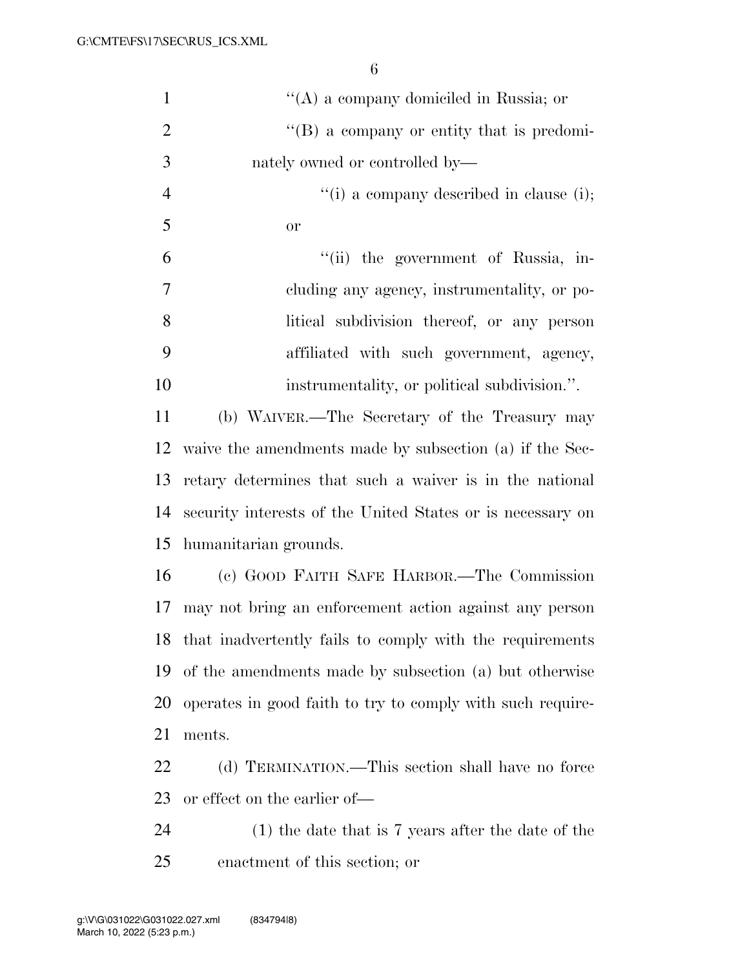| $\mathbf{1}$   | "(A) a company domiciled in Russia; or                     |
|----------------|------------------------------------------------------------|
| $\overline{2}$ | $\lq\lq (B)$ a company or entity that is predomi-          |
| 3              | nately owned or controlled by—                             |
| $\overline{4}$ | $f'(i)$ a company described in clause (i);                 |
| 5              | <b>or</b>                                                  |
| 6              | "(ii) the government of Russia, in-                        |
| 7              | cluding any agency, instrumentality, or po-                |
| 8              | litical subdivision thereof, or any person                 |
| 9              | affiliated with such government, agency,                   |
| 10             | instrumentality, or political subdivision.".               |
| 11             | (b) WAIVER.—The Secretary of the Treasury may              |
| 12             | waive the amendments made by subsection (a) if the Sec-    |
| 13             | retary determines that such a waiver is in the national    |
| 14             | security interests of the United States or is necessary on |
| 15             | humanitarian grounds.                                      |
| 16             | (c) GOOD FAITH SAFE HARBOR.—The Commission                 |
| 17             | may not bring an enforcement action against any person     |
| 18             | that inadvertently fails to comply with the requirements   |
| 19             | of the amendments made by subsection (a) but otherwise     |
| 20             | operates in good faith to try to comply with such require- |
| 21             | ments.                                                     |
| 22             | (d) TERMINATION.—This section shall have no force          |
| 23             | or effect on the earlier of—                               |
| 24             | $(1)$ the date that is 7 years after the date of the       |
| 25             | enactment of this section; or                              |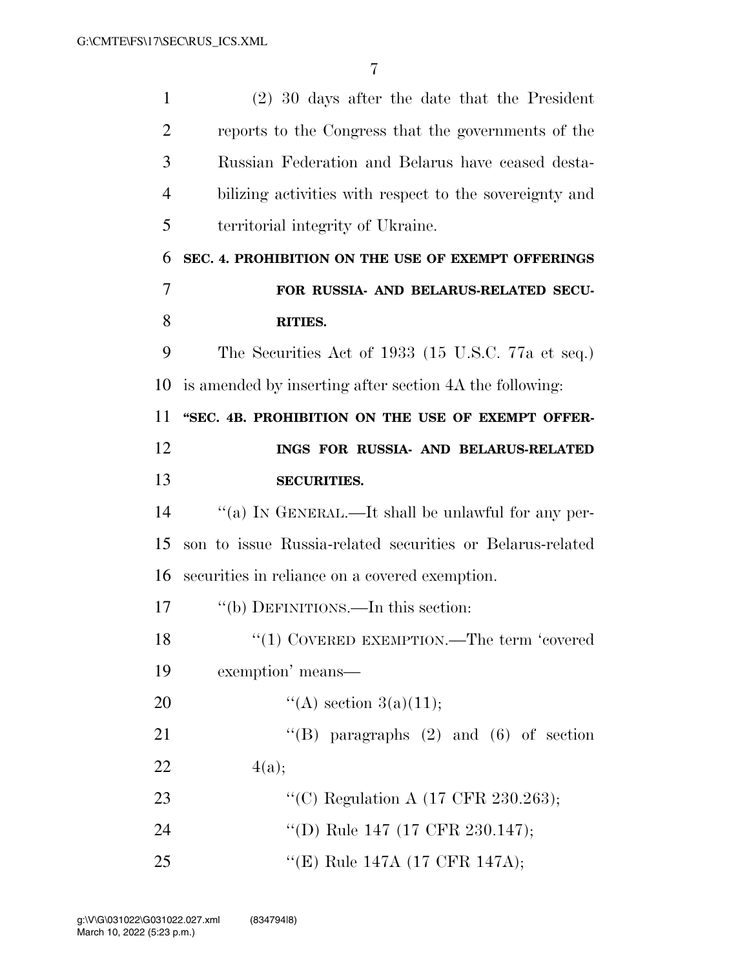| $\mathbf{1}$   | $(2)$ 30 days after the date that the President           |
|----------------|-----------------------------------------------------------|
| $\overline{2}$ | reports to the Congress that the governments of the       |
| 3              | Russian Federation and Belarus have ceased desta-         |
| $\overline{4}$ | bilizing activities with respect to the sovereignty and   |
| 5              | territorial integrity of Ukraine.                         |
| 6              | SEC. 4. PROHIBITION ON THE USE OF EXEMPT OFFERINGS        |
| 7              | FOR RUSSIA- AND BELARUS-RELATED SECU-                     |
| 8              | RITIES.                                                   |
| 9              | The Securities Act of 1933 (15 U.S.C. 77a et seq.)        |
| 10             | is amended by inserting after section 4A the following:   |
| 11             | "SEC. 4B. PROHIBITION ON THE USE OF EXEMPT OFFER-         |
| 12             | INGS FOR RUSSIA- AND BELARUS-RELATED                      |
| 13             | <b>SECURITIES.</b>                                        |
| 14             | "(a) IN GENERAL.—It shall be unlawful for any per-        |
|                |                                                           |
| 15             | son to issue Russia-related securities or Belarus-related |
| 16             | securities in reliance on a covered exemption.            |
| 17             | "(b) DEFINITIONS.—In this section:                        |
| 18             | $\lq(1)$ COVERED EXEMPTION.—The term 'covered'            |
| 19             | exemption' means—                                         |
| 20             | "(A) section $3(a)(11);$                                  |
| 21             | "(B) paragraphs $(2)$ and $(6)$ of section                |
| 22             | 4(a);                                                     |
| 23             | "(C) Regulation A (17 CFR 230.263);                       |
| 24             | "(D) Rule 147 (17 CFR 230.147);                           |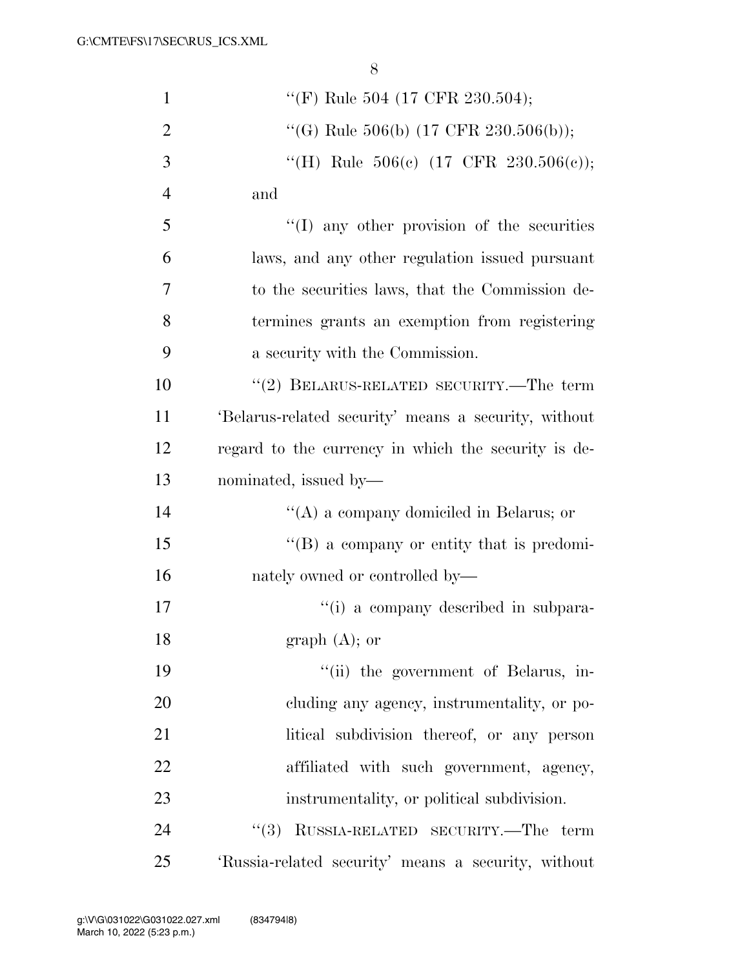| $\mathbf{1}$   | "(F) Rule 504 (17 CFR 230.504);                      |
|----------------|------------------------------------------------------|
| $\overline{2}$ | "(G) Rule 506(b) (17 CFR 230.506(b));                |
| 3              | "(H) Rule $506(c)$ (17 CFR 230.506(c));              |
| $\overline{4}$ | and                                                  |
| 5              | $\lq\lq$ (I) any other provision of the securities   |
| 6              | laws, and any other regulation issued pursuant       |
| 7              | to the securities laws, that the Commission de-      |
| 8              | termines grants an exemption from registering        |
| 9              | a security with the Commission.                      |
| 10             | $``(2)$ BELARUS-RELATED SECURITY.—The term           |
| 11             | 'Belarus-related security' means a security, without |
| 12             | regard to the currency in which the security is de-  |
| 13             | nominated, issued by—                                |
| 14             | $\lq\lq$ a company domiciled in Belarus; or          |
| 15             | $\lq\lq (B)$ a company or entity that is predomi-    |
| 16             | nately owned or controlled by—                       |
| 17             | "(i) a company described in subpara-                 |
| 18             | graph $(A)$ ; or                                     |
| 19             | "(ii) the government of Belarus, in-                 |
| 20             | cluding any agency, instrumentality, or po-          |
| 21             | litical subdivision thereof, or any person           |
| 22             | affiliated with such government, agency,             |
| 23             | instrumentality, or political subdivision.           |
| 24             | RUSSIA-RELATED SECURITY.—The term<br>(3)             |
| 25             | 'Russia-related security' means a security, without  |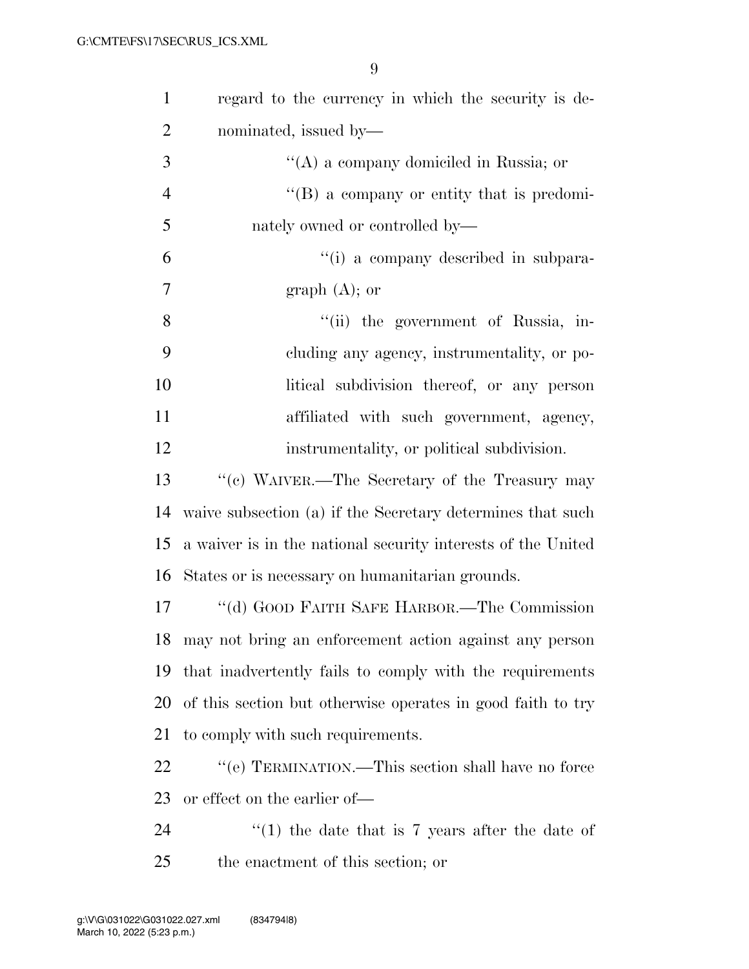| $\mathbf{1}$   | regard to the currency in which the security is de-          |
|----------------|--------------------------------------------------------------|
| $\overline{2}$ | nominated, issued by—                                        |
| 3              | "(A) a company domiciled in Russia; or                       |
| $\overline{4}$ | "(B) a company or entity that is predomi-                    |
| 5              | nately owned or controlled by—                               |
| 6              | "(i) a company described in subpara-                         |
| 7              | graph $(A)$ ; or                                             |
| 8              | "(ii) the government of Russia, in-                          |
| 9              | cluding any agency, instrumentality, or po-                  |
| 10             | litical subdivision thereof, or any person                   |
| 11             | affiliated with such government, agency,                     |
| 12             | instrumentality, or political subdivision.                   |
| 13             | "(c) WAIVER.—The Secretary of the Treasury may               |
| 14             | waive subsection (a) if the Secretary determines that such   |
| 15             | a waiver is in the national security interests of the United |
| 16             | States or is necessary on humanitarian grounds.              |
| 17             | "(d) GOOD FAITH SAFE HARBOR.—The Commission                  |
|                | 18 may not bring an enforcement action against any person    |
| 19             | that inadvertently fails to comply with the requirements     |
| 20             | of this section but otherwise operates in good faith to try  |
| 21             | to comply with such requirements.                            |
| 22             | $\lq\lq (e)$ TERMINATION.—This section shall have no force   |
| 23             | or effect on the earlier of—                                 |
| 24             | $\lq(1)$ the date that is 7 years after the date of          |
| 25             | the enactment of this section; or                            |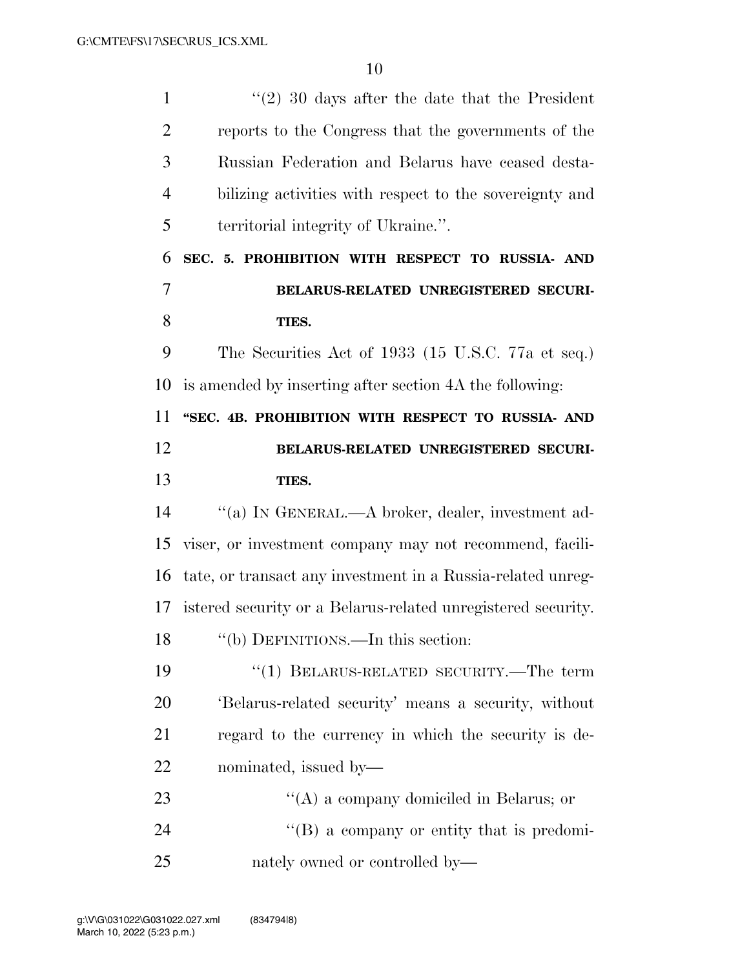| $\mathbf{1}$   | $\lq(2)$ 30 days after the date that the President           |
|----------------|--------------------------------------------------------------|
| $\overline{2}$ | reports to the Congress that the governments of the          |
| 3              | Russian Federation and Belarus have ceased desta-            |
| $\overline{4}$ | bilizing activities with respect to the sovereignty and      |
| 5              | territorial integrity of Ukraine.".                          |
| 6              | SEC. 5. PROHIBITION WITH RESPECT TO RUSSIA- AND              |
| 7              | BELARUS-RELATED UNREGISTERED SECURI-                         |
| 8              | TIES.                                                        |
| 9              | The Securities Act of 1933 (15 U.S.C. 77a et seq.)           |
| 10             | is amended by inserting after section 4A the following:      |
| 11             | "SEC. 4B. PROHIBITION WITH RESPECT TO RUSSIA- AND            |
| 12             | BELARUS-RELATED UNREGISTERED SECURI-                         |
| 13             | TIES.                                                        |
| 14             | "(a) IN GENERAL.—A broker, dealer, investment ad-            |
| 15             | viser, or investment company may not recommend, facili-      |
| 16             | tate, or transact any investment in a Russia-related unreg-  |
| 17             | istered security or a Belarus-related unregistered security. |
| 18             | "(b) DEFINITIONS.—In this section:                           |
| 19             | $``(1)$ BELARUS-RELATED SECURITY.—The term                   |
| 20             | 'Belarus-related security' means a security, without         |
| 21             | regard to the currency in which the security is de-          |
| 22             | nominated, issued by—                                        |
| 23             | "(A) a company domiciled in Belarus; or                      |
| 24             | "(B) a company or entity that is predomi-                    |
|                |                                                              |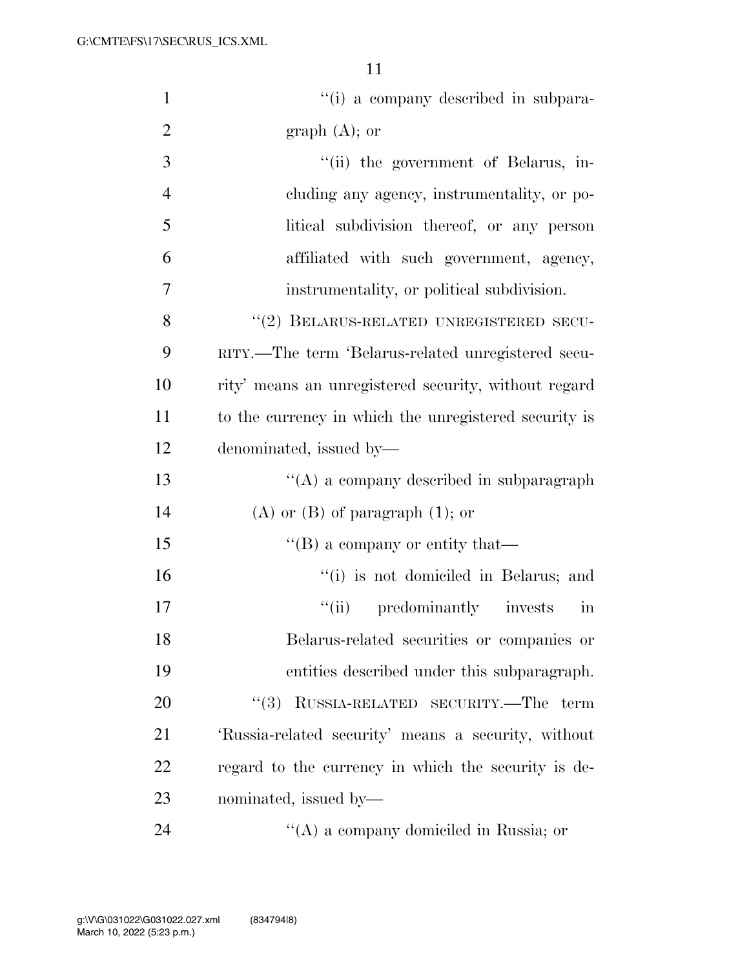| $\mathbf{1}$   | "(i) a company described in subpara-                  |
|----------------|-------------------------------------------------------|
| $\overline{2}$ | graph $(A)$ ; or                                      |
| 3              | "(ii) the government of Belarus, in-                  |
| $\overline{4}$ | cluding any agency, instrumentality, or po-           |
| 5              | litical subdivision thereof, or any person            |
| 6              | affiliated with such government, agency,              |
| 7              | instrumentality, or political subdivision.            |
| 8              | "(2) BELARUS-RELATED UNREGISTERED SECU-               |
| 9              | RITY.—The term 'Belarus-related unregistered secu-    |
| 10             | rity' means an unregistered security, without regard  |
| 11             | to the currency in which the unregistered security is |
| 12             | denominated, issued by—                               |
| 13             | $\lq\lq$ a company described in subparagraph          |
| 14             | $(A)$ or $(B)$ of paragraph $(1)$ ; or                |
| 15             | $\lq\lq (B)$ a company or entity that—                |
| 16             | "(i) is not domiciled in Belarus; and                 |
| 17             | "(ii) predominantly invests<br>$\operatorname{in}$    |
| 18             | Belarus-related securities or companies or            |
| 19             | entities described under this subparagraph.           |
| 20             | RUSSIA-RELATED SECURITY.—The term<br>(3)              |
| 21             | 'Russia-related security' means a security, without   |
| 22             | regard to the currency in which the security is de-   |
| 23             | nominated, issued by—                                 |
| 24             | "(A) a company domiciled in Russia; or                |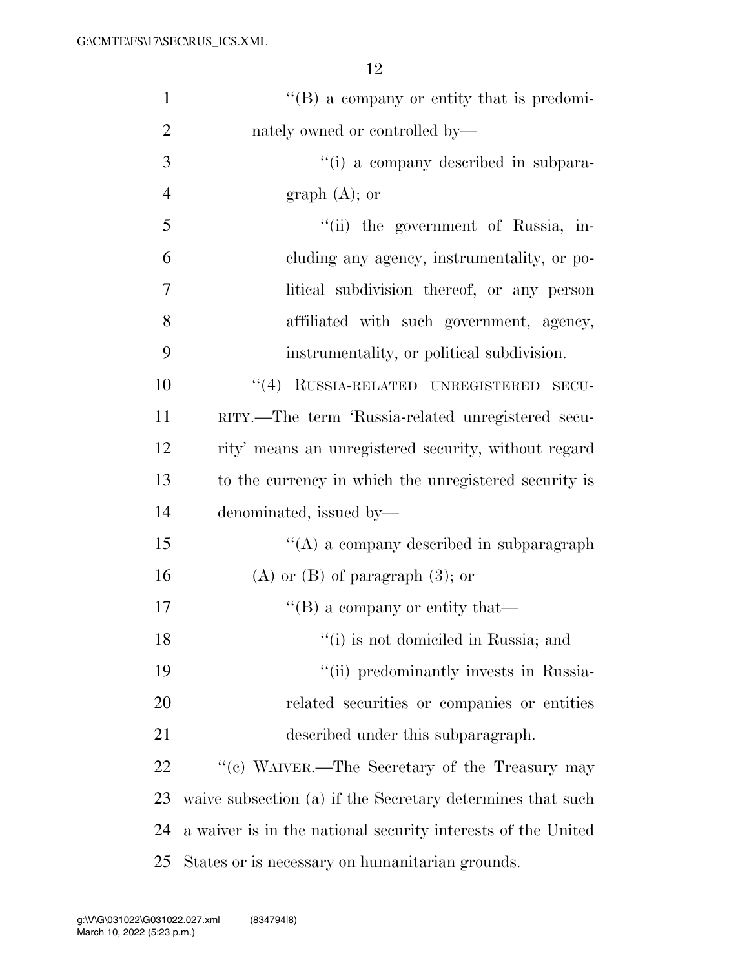| $\mathbf{1}$   | "(B) a company or entity that is predomi-                    |
|----------------|--------------------------------------------------------------|
| $\overline{2}$ | nately owned or controlled by—                               |
| 3              | "(i) a company described in subpara-                         |
| $\overline{4}$ | graph $(A)$ ; or                                             |
| 5              | "(ii) the government of Russia, in-                          |
| 6              | cluding any agency, instrumentality, or po-                  |
| 7              | litical subdivision thereof, or any person                   |
| 8              | affiliated with such government, agency,                     |
| 9              | instrumentality, or political subdivision.                   |
| 10             | "(4) RUSSIA-RELATED UNREGISTERED SECU-                       |
| 11             | RITY.—The term 'Russia-related unregistered secu-            |
| 12             | rity' means an unregistered security, without regard         |
| 13             | to the currency in which the unregistered security is        |
| 14             | denominated, issued by—                                      |
| 15             | "(A) a company described in subparagraph                     |
| 16             | $(A)$ or $(B)$ of paragraph $(3)$ ; or                       |
| 17             | $\lq\lq (B)$ a company or entity that—                       |
| 18             | "(i) is not domiciled in Russia; and                         |
| 19             | "(ii) predominantly invests in Russia-                       |
| 20             | related securities or companies or entities                  |
| 21             | described under this subparagraph.                           |
| 22             | "(c) WAIVER.—The Secretary of the Treasury may               |
| 23             | waive subsection (a) if the Secretary determines that such   |
| 24             | a waiver is in the national security interests of the United |
| 25             | States or is necessary on humanitarian grounds.              |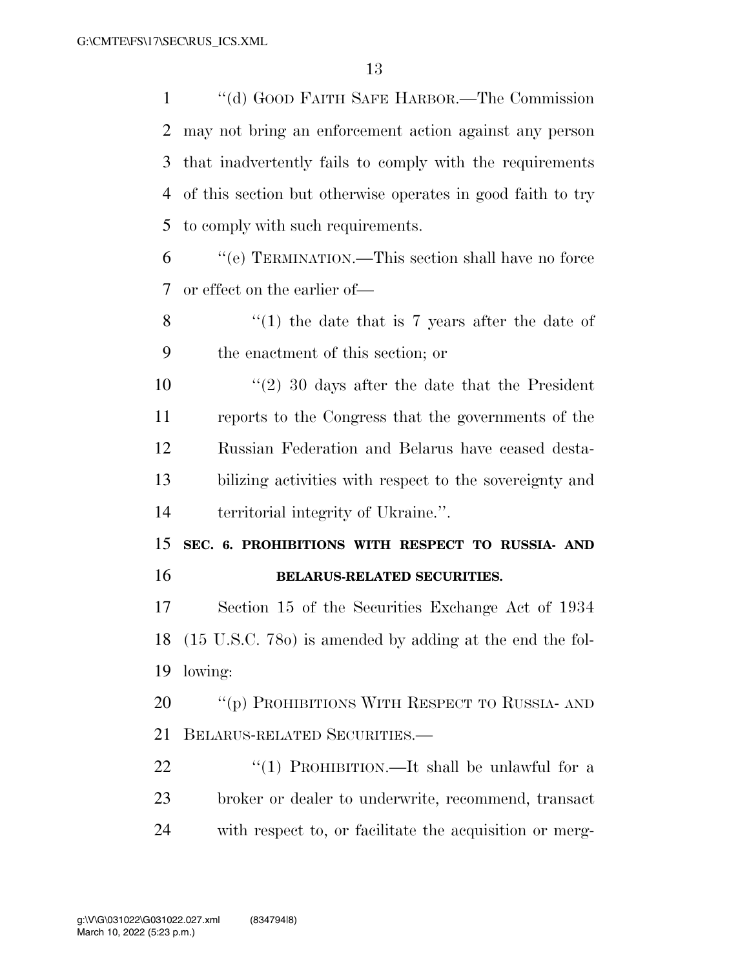''(d) GOOD FAITH SAFE HARBOR.—The Commission may not bring an enforcement action against any person that inadvertently fails to comply with the requirements of this section but otherwise operates in good faith to try to comply with such requirements.

 ''(e) TERMINATION.—This section shall have no force or effect on the earlier of—

8 ''(1) the date that is 7 years after the date of the enactment of this section; or

 ''(2) 30 days after the date that the President reports to the Congress that the governments of the Russian Federation and Belarus have ceased desta- bilizing activities with respect to the sovereignty and territorial integrity of Ukraine.''.

 **SEC. 6. PROHIBITIONS WITH RESPECT TO RUSSIA- AND BELARUS-RELATED SECURITIES.** 

 Section 15 of the Securities Exchange Act of 1934 (15 U.S.C. 78o) is amended by adding at the end the fol-lowing:

20 "(p) PROHIBITIONS WITH RESPECT TO RUSSIA- AND BELARUS-RELATED SECURITIES.—

22 "(1) PROHIBITION.—It shall be unlawful for a broker or dealer to underwrite, recommend, transact with respect to, or facilitate the acquisition or merg-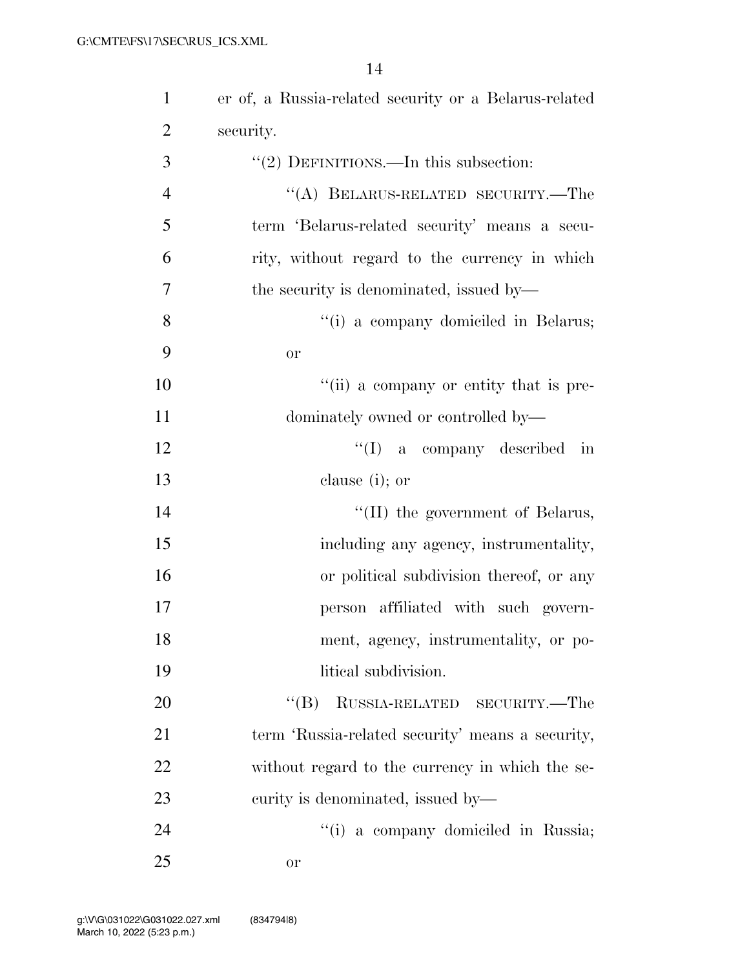| $\mathbf{1}$   | er of, a Russia-related security or a Belarus-related |
|----------------|-------------------------------------------------------|
| $\overline{2}$ | security.                                             |
| 3              | " $(2)$ DEFINITIONS.—In this subsection:              |
| $\overline{4}$ | "(A) BELARUS-RELATED SECURITY.—The                    |
| 5              | term 'Belarus-related security' means a secu-         |
| 6              | rity, without regard to the currency in which         |
| 7              | the security is denominated, issued by—               |
| 8              | "(i) a company domiciled in Belarus;                  |
| 9              | or                                                    |
| 10             | "(ii) a company or entity that is pre-                |
| 11             | dominately owned or controlled by-                    |
| 12             | $\lq\lq$ (I) a company described in                   |
| 13             | clause (i); or                                        |
| 14             | "(II) the government of Belarus,                      |
| 15             | including any agency, instrumentality,                |
| 16             | or political subdivision thereof, or any              |
| 17             | person affiliated with such govern-                   |
| 18             | ment, agency, instrumentality, or po-                 |
| 19             | litical subdivision.                                  |
| 20             | RUSSIA-RELATED SECURITY.—The<br>$\lq\lq (B)$          |
| 21             | term 'Russia-related security' means a security,      |
| 22             | without regard to the currency in which the se-       |
| 23             | curity is denominated, issued by—                     |
| 24             | "(i) a company domiciled in Russia;                   |
| 25             | or                                                    |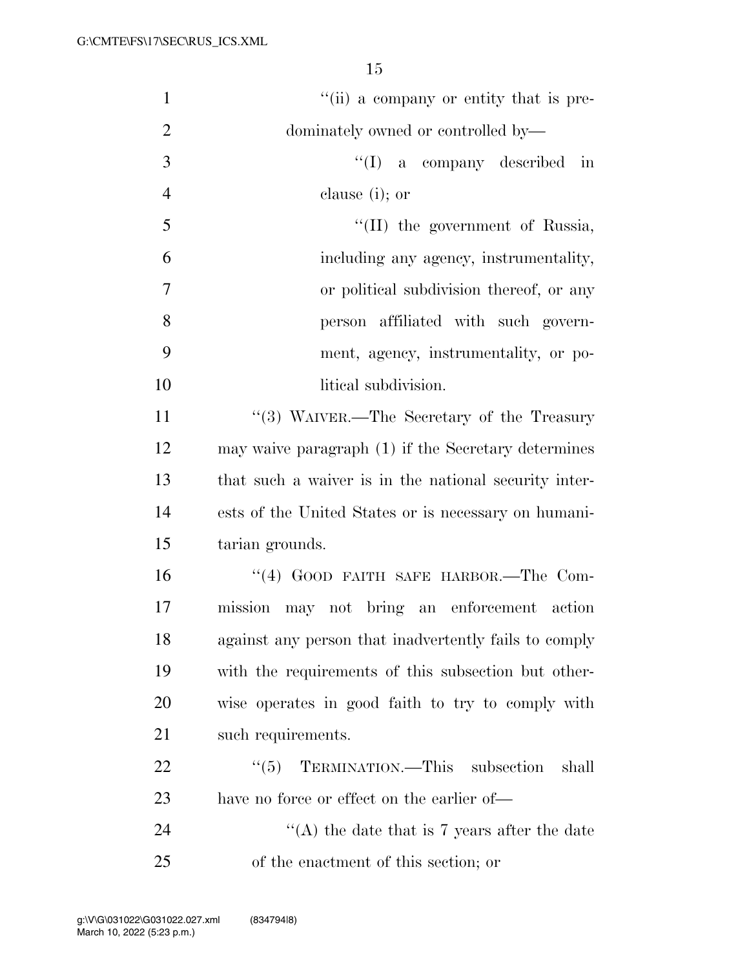| $\mathbf{1}$   | "(ii) a company or entity that is pre-                |
|----------------|-------------------------------------------------------|
| $\overline{2}$ | dominately owned or controlled by-                    |
| 3              | ``(I)<br>a company described in                       |
| $\overline{4}$ | clause (i); or                                        |
| 5              | "(II) the government of Russia,                       |
| 6              | including any agency, instrumentality,                |
| $\overline{7}$ | or political subdivision thereof, or any              |
| 8              | person affiliated with such govern-                   |
| 9              | ment, agency, instrumentality, or po-                 |
| 10             | litical subdivision.                                  |
| 11             | $\lq(3)$ WAIVER.—The Secretary of the Treasury        |
| 12             | may waive paragraph (1) if the Secretary determines   |
| 13             | that such a waiver is in the national security inter- |
| 14             | ests of the United States or is necessary on humani-  |
| 15             | tarian grounds.                                       |
| 16             | "(4) GOOD FAITH SAFE HARBOR.-The Com-                 |
| 17             | mission may not bring an enforcement action           |
| 18             | against any person that inadvertently fails to comply |
| 19             | with the requirements of this subsection but other-   |
| 20             | wise operates in good faith to try to comply with     |
| 21             | such requirements.                                    |
| 22             | TERMINATION.—This subsection<br>``(5)<br>shall        |
| 23             | have no force or effect on the earlier of—            |
| 24             | "(A) the date that is 7 years after the date          |
| 25             | of the enactment of this section; or                  |